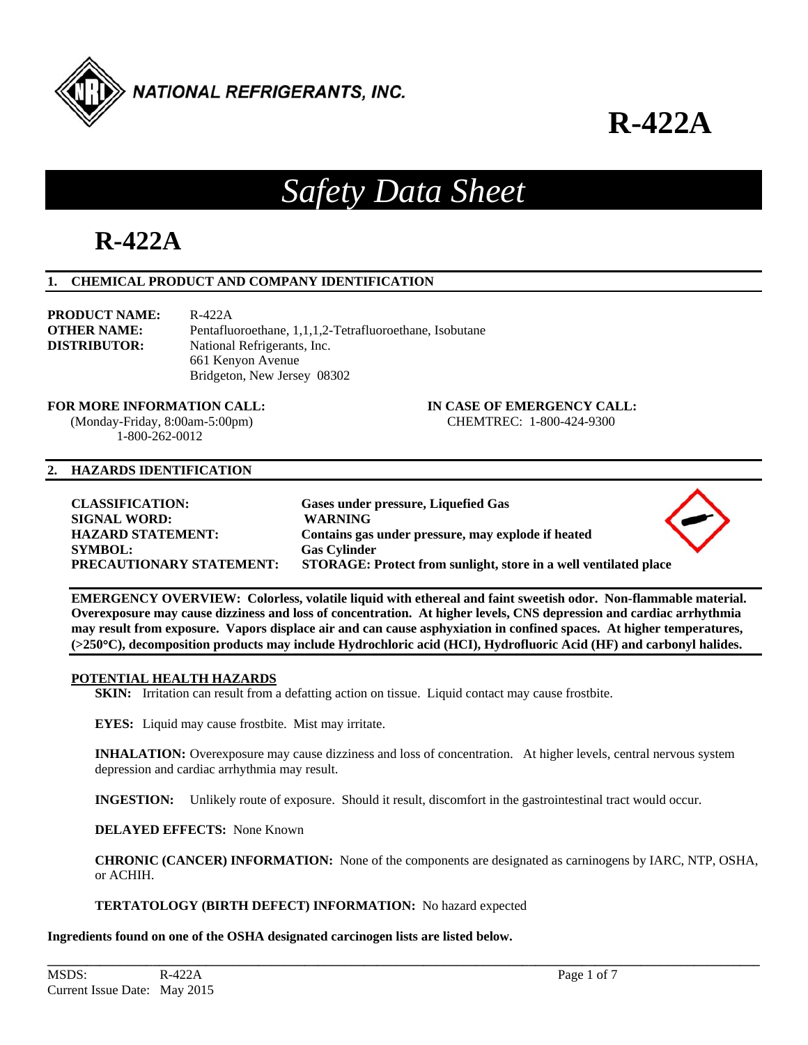

ᆂ

# *Safety Data Sheet*

## **R-422A**

#### **1. CHEMICAL PRODUCT AND COMPANY IDENTIFICATION**

**PRODUCT NAME:** R-422A **DISTRIBUTOR:** National Refrigerants, Inc. 661 Kenyon Avenue

**OTHER NAME:** Pentafluoroethane, 1,1,1,2-Tetrafluoroethane, Isobutane Bridgeton, New Jersey 08302

#### **FOR MORE INFORMATION CALL: IN CASE OF EMERGENCY CALL:**

 (Monday-Friday, 8:00am-5:00pm) CHEMTREC: 1-800-424-9300 1-800-262-0012

#### **2. HAZARDS IDENTIFICATION**

| <b>CLASSIFICATION:</b><br><b>SIGNAL WORD:</b><br><b>HAZARD STATEMENT:</b><br><b>SYMBOL:</b><br><b>PRECAUTIONARY STATEMENT:</b> | Gases under pressure, Liquefied Gas<br><b>WARNING</b><br>Contains gas under pressure, may explode if heated<br><b>Gas Cylinder</b><br>STORAGE: Protect from sunlight, store in a well ventilated place | $\langle \bullet \rangle$ |
|--------------------------------------------------------------------------------------------------------------------------------|--------------------------------------------------------------------------------------------------------------------------------------------------------------------------------------------------------|---------------------------|
|                                                                                                                                |                                                                                                                                                                                                        |                           |

**EMERGENCY OVERVIEW: Colorless, volatile liquid with ethereal and faint sweetish odor. Non-flammable material. Overexposure may cause dizziness and loss of concentration. At higher levels, CNS depression and cardiac arrhythmia may result from exposure. Vapors displace air and can cause asphyxiation in confined spaces. At higher temperatures, (>250C), decomposition products may include Hydrochloric acid (HCI), Hydrofluoric Acid (HF) and carbonyl halides.** 

#### **POTENTIAL HEALTH HAZARDS**

**SKIN:** Irritation can result from a defatting action on tissue. Liquid contact may cause frostbite.

**EYES:** Liquid may cause frostbite. Mist may irritate.

 **INHALATION:** Overexposure may cause dizziness and loss of concentration. At higher levels, central nervous system depression and cardiac arrhythmia may result.

**INGESTION:** Unlikely route of exposure. Should it result, discomfort in the gastrointestinal tract would occur.

**\_\_\_\_\_\_\_\_\_\_\_\_\_\_\_\_\_\_\_\_\_\_\_\_\_\_\_\_\_\_\_\_\_\_\_\_\_\_\_\_\_\_\_\_\_\_\_\_\_\_\_\_\_\_\_\_\_\_\_\_\_\_\_\_\_\_\_\_\_\_\_\_\_\_\_\_\_\_\_\_\_\_\_\_\_\_\_\_\_\_\_\_\_\_\_\_\_\_\_\_\_\_\_\_\_\_\_\_** 

**DELAYED EFFECTS:** None Known

**CHRONIC (CANCER) INFORMATION:** None of the components are designated as carninogens by IARC, NTP, OSHA, or ACHIH.

**TERTATOLOGY (BIRTH DEFECT) INFORMATION:** No hazard expected

**Ingredients found on one of the OSHA designated carcinogen lists are listed below.**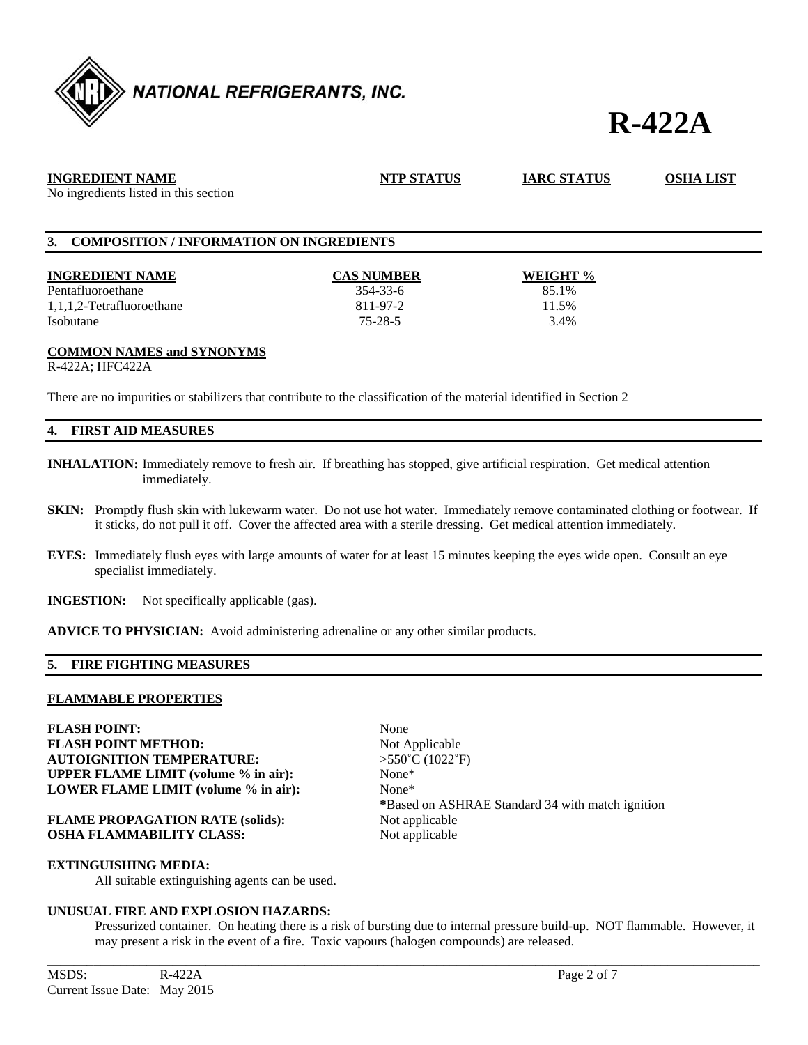

| <b>INGREDIENT NAME</b><br>No ingredients listed in this section | <b>NTP STATUS</b> | <b>IARC STATUS</b> | <b>OSHA LIST</b> |
|-----------------------------------------------------------------|-------------------|--------------------|------------------|
| 3. COMPOSITION / INFORMATION ON INGREDIENTS                     |                   |                    |                  |
| <b>INGREDIENT NAME</b>                                          | <b>CAS NUMBER</b> | WEIGHT %           |                  |
| Pentafluoroethane                                               | $354 - 33 - 6$    | 85.1%              |                  |
| 1,1,1,2-Tetrafluoroethane                                       | 811-97-2          | 11.5%              |                  |
| Isobutane                                                       | $75 - 28 - 5$     | 3.4%               |                  |

#### **COMMON NAMES and SYNONYMS**

R-422A; HFC422A

There are no impurities or stabilizers that contribute to the classification of the material identified in Section 2

#### **4. FIRST AID MEASURES**

- **INHALATION:** Immediately remove to fresh air. If breathing has stopped, give artificial respiration. Get medical attention immediately.
- **SKIN:** Promptly flush skin with lukewarm water. Do not use hot water. Immediately remove contaminated clothing or footwear. If it sticks, do not pull it off. Cover the affected area with a sterile dressing. Get medical attention immediately.
- **EYES:** Immediately flush eyes with large amounts of water for at least 15 minutes keeping the eyes wide open. Consult an eye specialist immediately.
- **INGESTION:** Not specifically applicable (gas).

**ADVICE TO PHYSICIAN:** Avoid administering adrenaline or any other similar products.

#### **5. FIRE FIGHTING MEASURES**

#### **FLAMMABLE PROPERTIES**

**FLASH POINT:** None **FLASH POINT METHOD:** Not Applicable **AUTOIGNITION TEMPERATURE:** >550˚C (1022˚F) **UPPER FLAME LIMIT (volume % in air):** None\* **LOWER FLAME LIMIT (volume % in air):** None\*

**FLAME PROPAGATION RATE (solids):** Not applicable **OSHA FLAMMABILITY CLASS:** Not applicable

**EXTINGUISHING MEDIA:** 

All suitable extinguishing agents can be used.

#### **UNUSUAL FIRE AND EXPLOSION HAZARDS:**

 Pressurized container. On heating there is a risk of bursting due to internal pressure build-up. NOT flammable. However, it may present a risk in the event of a fire. Toxic vapours (halogen compounds) are released.

 **\***Based on ASHRAE Standard 34 with match ignition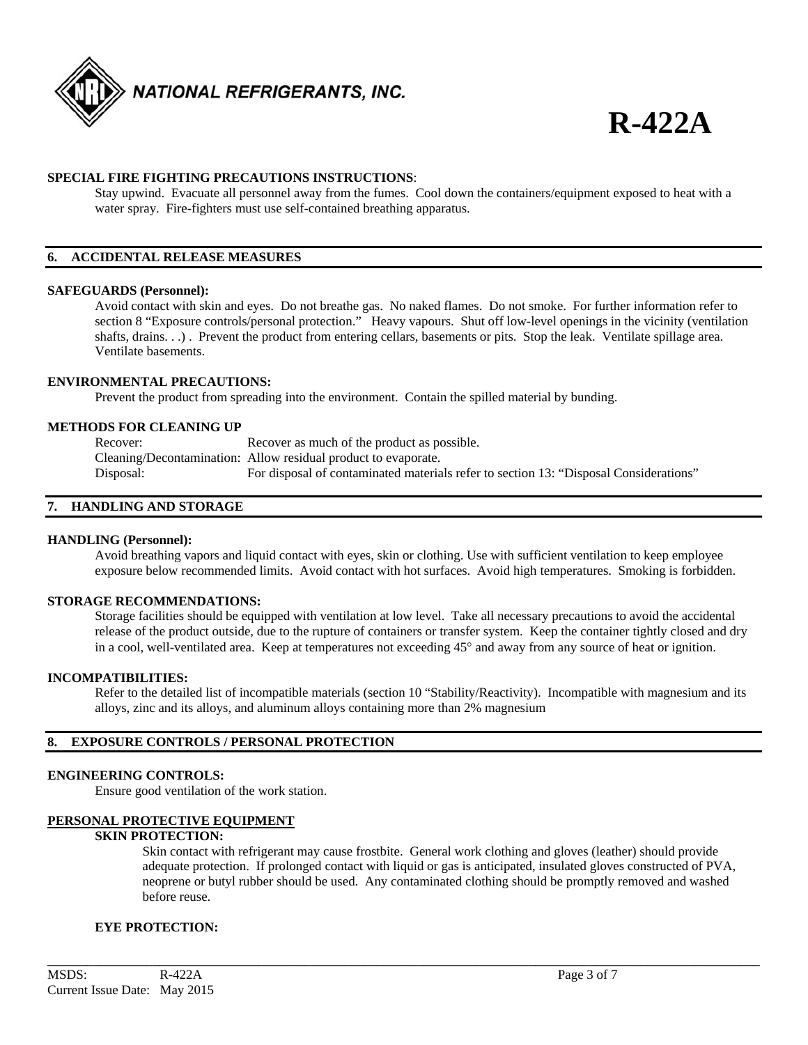

#### **SPECIAL FIRE FIGHTING PRECAUTIONS INSTRUCTIONS**:

 Stay upwind. Evacuate all personnel away from the fumes. Cool down the containers/equipment exposed to heat with a water spray. Fire-fighters must use self-contained breathing apparatus.

#### **6. ACCIDENTAL RELEASE MEASURES**

#### **SAFEGUARDS (Personnel):**

 Avoid contact with skin and eyes. Do not breathe gas. No naked flames. Do not smoke. For further information refer to section 8 "Exposure controls/personal protection." Heavy vapours. Shut off low-level openings in the vicinity (ventilation shafts, drains. . .). Prevent the product from entering cellars, basements or pits. Stop the leak. Ventilate spillage area. Ventilate basements.

#### **ENVIRONMENTAL PRECAUTIONS:**

Prevent the product from spreading into the environment. Contain the spilled material by bunding.

#### **METHODS FOR CLEANING UP**

Recover: Recover as much of the product as possible. Cleaning/Decontamination: Allow residual product to evaporate. Disposal: For disposal of contaminated materials refer to section 13: "Disposal Considerations"

#### **7. HANDLING AND STORAGE**

#### **HANDLING (Personnel):**

 Avoid breathing vapors and liquid contact with eyes, skin or clothing. Use with sufficient ventilation to keep employee exposure below recommended limits. Avoid contact with hot surfaces. Avoid high temperatures. Smoking is forbidden.

#### **STORAGE RECOMMENDATIONS:**

 Storage facilities should be equipped with ventilation at low level. Take all necessary precautions to avoid the accidental release of the product outside, due to the rupture of containers or transfer system. Keep the container tightly closed and dry in a cool, well-ventilated area. Keep at temperatures not exceeding  $45^{\circ}$  and away from any source of heat or ignition.

#### **INCOMPATIBILITIES:**

Refer to the detailed list of incompatible materials (section 10 "Stability/Reactivity). Incompatible with magnesium and its alloys, zinc and its alloys, and aluminum alloys containing more than 2% magnesium

#### **8. EXPOSURE CONTROLS / PERSONAL PROTECTION**

#### **ENGINEERING CONTROLS:**

Ensure good ventilation of the work station.

#### **PERSONAL PROTECTIVE EQUIPMENT**

#### **SKIN PROTECTION:**

 Skin contact with refrigerant may cause frostbite. General work clothing and gloves (leather) should provide adequate protection. If prolonged contact with liquid or gas is anticipated, insulated gloves constructed of PVA, neoprene or butyl rubber should be used. Any contaminated clothing should be promptly removed and washed before reuse.

**\_\_\_\_\_\_\_\_\_\_\_\_\_\_\_\_\_\_\_\_\_\_\_\_\_\_\_\_\_\_\_\_\_\_\_\_\_\_\_\_\_\_\_\_\_\_\_\_\_\_\_\_\_\_\_\_\_\_\_\_\_\_\_\_\_\_\_\_\_\_\_\_\_\_\_\_\_\_\_\_\_\_\_\_\_\_\_\_\_\_\_\_\_\_\_\_\_\_\_\_\_\_\_\_\_\_\_\_** 

#### **EYE PROTECTION:**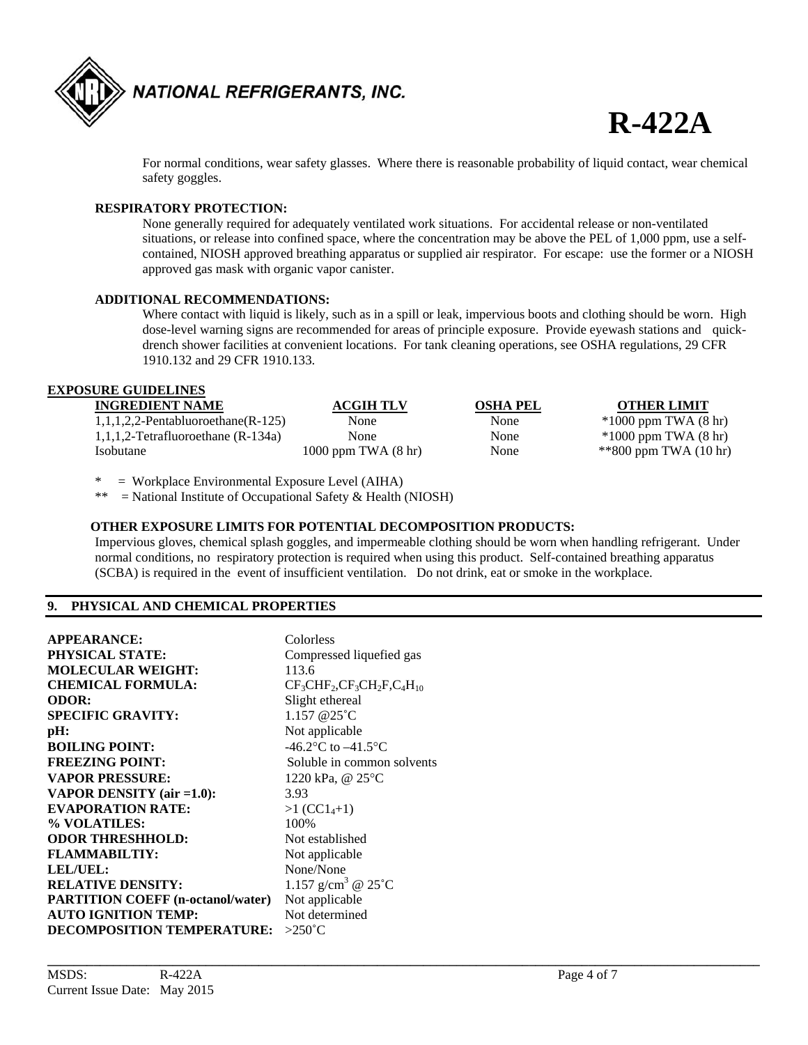

For normal conditions, wear safety glasses. Where there is reasonable probability of liquid contact, wear chemical safety goggles.

#### **RESPIRATORY PROTECTION:**

 None generally required for adequately ventilated work situations. For accidental release or non-ventilated situations, or release into confined space, where the concentration may be above the PEL of 1,000 ppm, use a self contained, NIOSH approved breathing apparatus or supplied air respirator. For escape: use the former or a NIOSH approved gas mask with organic vapor canister.

#### **ADDITIONAL RECOMMENDATIONS:**

Where contact with liquid is likely, such as in a spill or leak, impervious boots and clothing should be worn. High dose-level warning signs are recommended for areas of principle exposure. Provide eyewash stations and quick drench shower facilities at convenient locations. For tank cleaning operations, see OSHA regulations, 29 CFR 1910.132 and 29 CFR 1910.133.

### **EXPOSURE GUIDELINES**

| <b>INGREDIENT NAME</b>                | ACGIH TLV                       | OSHA PEL | <b>OTHER LIMIT</b>               |
|---------------------------------------|---------------------------------|----------|----------------------------------|
| $1,1,1,2,2$ -Pentabluoroethane(R-125) | None                            | None     | $*1000$ ppm TWA $(8 \text{ hr})$ |
| $1,1,1,2$ -Tetrafluoroethane (R-134a) | None                            | None     | $*1000$ ppm TWA $(8 \text{ hr})$ |
| Isobutane                             | $1000$ ppm TWA $(8 \text{ hr})$ | None     | $*800$ ppm TWA $(10 \text{ hr})$ |

 $=$  Workplace Environmental Exposure Level (AIHA)

\*\* = National Institute of Occupational Safety & Health (NIOSH)

#### **OTHER EXPOSURE LIMITS FOR POTENTIAL DECOMPOSITION PRODUCTS:**

 Impervious gloves, chemical splash goggles, and impermeable clothing should be worn when handling refrigerant. Under normal conditions, no respiratory protection is required when using this product. Self-contained breathing apparatus (SCBA) is required in the event of insufficient ventilation. Do not drink, eat or smoke in the workplace.

**\_\_\_\_\_\_\_\_\_\_\_\_\_\_\_\_\_\_\_\_\_\_\_\_\_\_\_\_\_\_\_\_\_\_\_\_\_\_\_\_\_\_\_\_\_\_\_\_\_\_\_\_\_\_\_\_\_\_\_\_\_\_\_\_\_\_\_\_\_\_\_\_\_\_\_\_\_\_\_\_\_\_\_\_\_\_\_\_\_\_\_\_\_\_\_\_\_\_\_\_\_\_\_\_\_\_\_\_** 

#### **9. PHYSICAL AND CHEMICAL PROPERTIES**

| <b>APPEARANCE:</b>                       | Colorless                                       |
|------------------------------------------|-------------------------------------------------|
| <b>PHYSICAL STATE:</b>                   | Compressed liquefied gas                        |
| <b>MOLECULAR WEIGHT:</b>                 | 113.6                                           |
| <b>CHEMICAL FORMULA:</b>                 | $CF3CHF2, CF3CH2F, C4H10$                       |
| <b>ODOR:</b>                             | Slight ethereal                                 |
| <b>SPECIFIC GRAVITY:</b>                 | $1.157 \ @ 25^{\circ}C$                         |
| pH:                                      | Not applicable                                  |
| <b>BOILING POINT:</b>                    | -46.2 $\rm{^{\circ}C}$ to $-41.5\rm{^{\circ}C}$ |
| <b>FREEZING POINT:</b>                   | Soluble in common solvents                      |
| <b>VAPOR PRESSURE:</b>                   | 1220 kPa, @ 25°C                                |
| VAPOR DENSITY (air $=1.0$ ):             | 3.93                                            |
| <b>EVAPORATION RATE:</b>                 | $>1$ (CC1 <sub>4</sub> +1)                      |
| % VOLATILES:                             | 100%                                            |
| <b>ODOR THRESHHOLD:</b>                  | Not established                                 |
| <b>FLAMMABILTIY:</b>                     | Not applicable                                  |
| LEL/UEL:                                 | None/None                                       |
| <b>RELATIVE DENSITY:</b>                 | 1.157 g/cm <sup>3</sup> @ $25^{\circ}$ C        |
| <b>PARTITION COEFF (n-octanol/water)</b> | Not applicable                                  |
| <b>AUTO IGNITION TEMP:</b>               | Not determined                                  |
| <b>DECOMPOSITION TEMPERATURE:</b> >250°C |                                                 |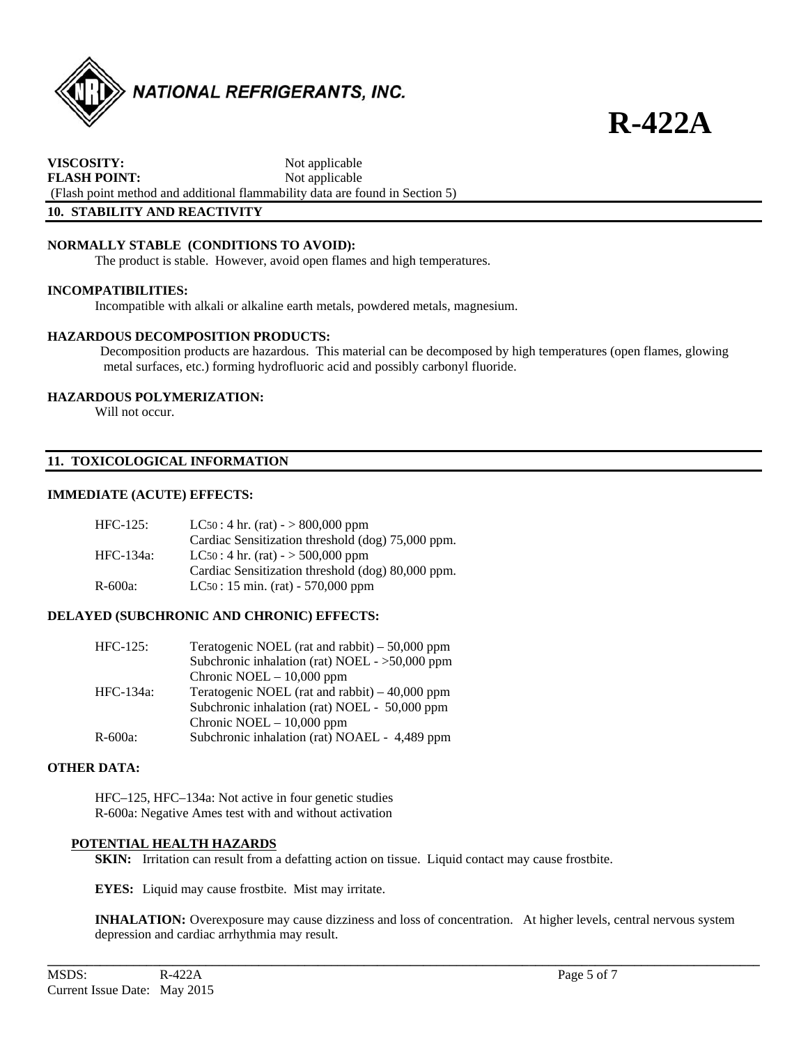

**VISCOSITY:** Not applicable **FLASH POINT:** Not applicable (Flash point method and additional flammability data are found in Section 5) **10. STABILITY AND REACTIVITY** 

### **NORMALLY STABLE (CONDITIONS TO AVOID):**

The product is stable. However, avoid open flames and high temperatures.

#### **INCOMPATIBILITIES:**

Incompatible with alkali or alkaline earth metals, powdered metals, magnesium.

#### **HAZARDOUS DECOMPOSITION PRODUCTS:**

Decomposition products are hazardous. This material can be decomposed by high temperatures (open flames, glowing metal surfaces, etc.) forming hydrofluoric acid and possibly carbonyl fluoride.

#### **HAZARDOUS POLYMERIZATION:**

Will not occur.

#### **11. TOXICOLOGICAL INFORMATION**

#### **IMMEDIATE (ACUTE) EFFECTS:**

| $HFC-125:$ | $LC50:4$ hr. (rat) $-$ > 800,000 ppm              |
|------------|---------------------------------------------------|
|            | Cardiac Sensitization threshold (dog) 75,000 ppm. |
| HFC-134a:  | $LC50:4$ hr. (rat) - > 500,000 ppm                |
|            | Cardiac Sensitization threshold (dog) 80,000 ppm. |
| R-600a:    | $LC50: 15 \text{ min.}$ (rat) - 570,000 ppm       |

#### **DELAYED (SUBCHRONIC AND CHRONIC) EFFECTS:**

| $HFC-125$ :  | Teratogenic NOEL (rat and rabbit) $-50,000$ ppm  |
|--------------|--------------------------------------------------|
|              | Subchronic inhalation (rat) NOEL - $>50,000$ ppm |
|              | Chronic NOEL $-10,000$ ppm                       |
| HFC-134a:    | Teratogenic NOEL (rat and rabbit) $-40,000$ ppm  |
|              | Subchronic inhalation (rat) NOEL - 50,000 ppm    |
|              | Chronic NOEL $-10,000$ ppm                       |
| $R - 600a$ : | Subchronic inhalation (rat) NOAEL - 4,489 ppm    |

#### **OTHER DATA:**

HFC–125, HFC–134a: Not active in four genetic studies R-600a: Negative Ames test with and without activation

#### **POTENTIAL HEALTH HAZARDS**

**SKIN:** Irritation can result from a defatting action on tissue. Liquid contact may cause frostbite.

**EYES:** Liquid may cause frostbite. Mist may irritate.

 **INHALATION:** Overexposure may cause dizziness and loss of concentration. At higher levels, central nervous system depression and cardiac arrhythmia may result.

**\_\_\_\_\_\_\_\_\_\_\_\_\_\_\_\_\_\_\_\_\_\_\_\_\_\_\_\_\_\_\_\_\_\_\_\_\_\_\_\_\_\_\_\_\_\_\_\_\_\_\_\_\_\_\_\_\_\_\_\_\_\_\_\_\_\_\_\_\_\_\_\_\_\_\_\_\_\_\_\_\_\_\_\_\_\_\_\_\_\_\_\_\_\_\_\_\_\_\_\_\_\_\_\_\_\_\_\_**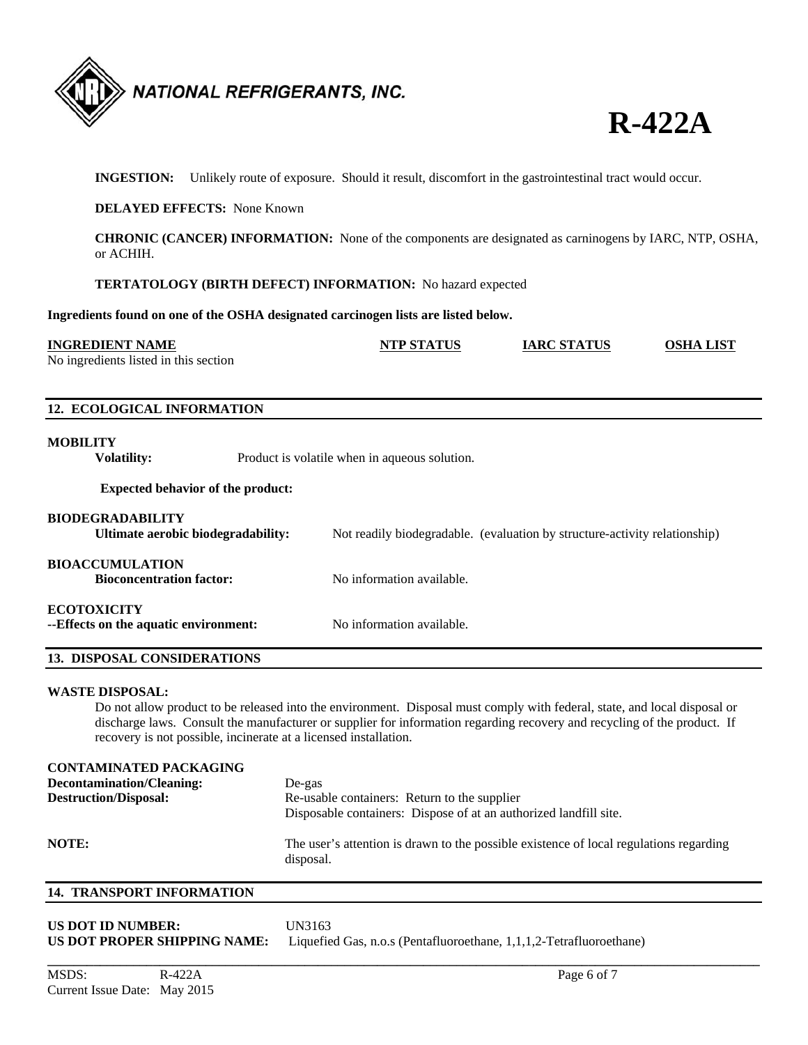



**INGESTION:** Unlikely route of exposure. Should it result, discomfort in the gastrointestinal tract would occur.

#### **DELAYED EFFECTS:** None Known

**CHRONIC (CANCER) INFORMATION:** None of the components are designated as carninogens by IARC, NTP, OSHA, or ACHIH.

#### **TERTATOLOGY (BIRTH DEFECT) INFORMATION:** No hazard expected

**Ingredients found on one of the OSHA designated carcinogen lists are listed below.** 

| <b>INGREDIENT NAME</b>                | <b>NTP STATUS</b> | <b>IARC STATUS</b> | OSHA LIST |
|---------------------------------------|-------------------|--------------------|-----------|
| No ingredients listed in this section |                   |                    |           |
|                                       |                   |                    |           |

#### **12. ECOLOGICAL INFORMATION**

#### **MOBILITY**

**Volatility:** Product is volatile when in aqueous solution.

#### **Expected behavior of the product:**

| <b>BIODEGRADABILITY</b><br>Ultimate aerobic biodegradability: | Not readily biodegradable. (evaluation by structure-activity relationship) |
|---------------------------------------------------------------|----------------------------------------------------------------------------|
| <b>BIOACCUMULATION</b><br><b>Bioconcentration factor:</b>     | No information available.                                                  |
| <b>ECOTOXICITY</b><br>--Effects on the aquatic environment:   | No information available.                                                  |

#### **13. DISPOSAL CONSIDERATIONS**

#### **WASTE DISPOSAL:**

 Do not allow product to be released into the environment. Disposal must comply with federal, state, and local disposal or discharge laws. Consult the manufacturer or supplier for information regarding recovery and recycling of the product. If recovery is not possible, incinerate at a licensed installation.

## **CONTAMINATED PACKAGING Decontamination/Cleaning:** De-gas **Destruction/Disposal:** Re-usable containers: Return to the supplier Disposable containers: Dispose of at an authorized landfill site. **NOTE:** The user's attention is drawn to the possible existence of local regulations regarding disposal.

**\_\_\_\_\_\_\_\_\_\_\_\_\_\_\_\_\_\_\_\_\_\_\_\_\_\_\_\_\_\_\_\_\_\_\_\_\_\_\_\_\_\_\_\_\_\_\_\_\_\_\_\_\_\_\_\_\_\_\_\_\_\_\_\_\_\_\_\_\_\_\_\_\_\_\_\_\_\_\_\_\_\_\_\_\_\_\_\_\_\_\_\_\_\_\_\_\_\_\_\_\_\_\_\_\_\_\_\_** 

### **14. TRANSPORT INFORMATION**

| US DOT ID NUMBER:            | UN3163                                                              |
|------------------------------|---------------------------------------------------------------------|
| US DOT PROPER SHIPPING NAME: | Liquefied Gas, n.o.s (Pentafluoroethane, 1,1,1,2-Tetrafluoroethane) |